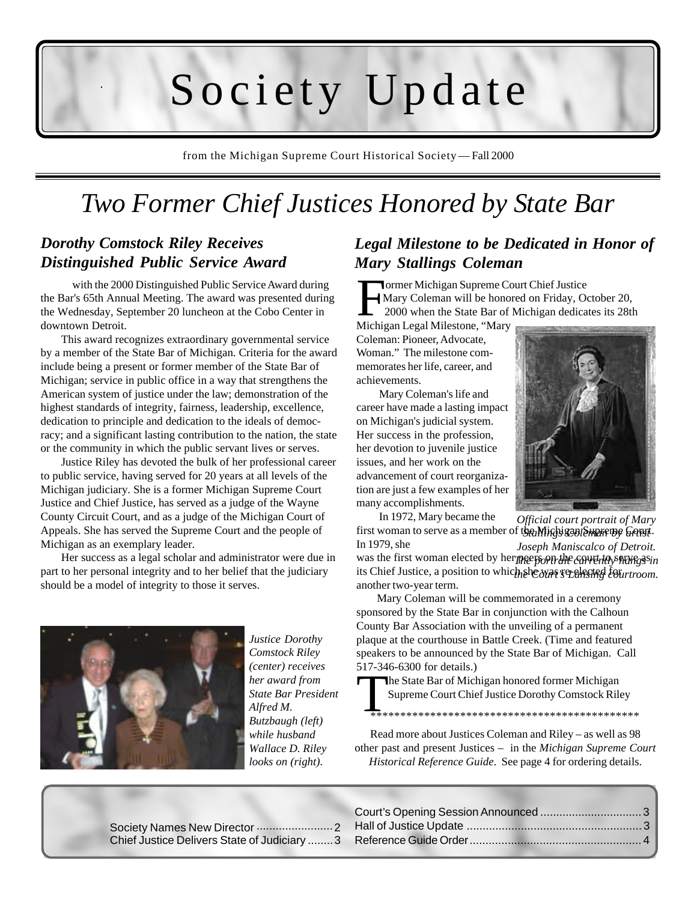# Society Update

from the Michigan Supreme Court Historical Society –– Fall 2000

### *Two Former Chief Justices Honored by State Bar*

### *Dorothy Comstock Riley Receives Distinguished Public Service Award*

with the 2000 Distinguished Public Service Award during the Bar's 65th Annual Meeting. The award was presented during the Wednesday, September 20 luncheon at the Cobo Center in downtown Detroit.

This award recognizes extraordinary governmental service by a member of the State Bar of Michigan. Criteria for the award include being a present or former member of the State Bar of Michigan; service in public office in a way that strengthens the American system of justice under the law; demonstration of the highest standards of integrity, fairness, leadership, excellence, dedication to principle and dedication to the ideals of democracy; and a significant lasting contribution to the nation, the state or the community in which the public servant lives or serves.

Justice Riley has devoted the bulk of her professional career to public service, having served for 20 years at all levels of the Michigan judiciary. She is a former Michigan Supreme Court Justice and Chief Justice, has served as a judge of the Wayne County Circuit Court, and as a judge of the Michigan Court of Appeals. She has served the Supreme Court and the people of Michigan as an exemplary leader.

Her success as a legal scholar and administrator were due in part to her personal integrity and to her belief that the judiciary should be a model of integrity to those it serves.



*Justice Dorothy Comstock Riley (center) receives her award from State Bar President Alfred M. Butzbaugh (left) while husband Wallace D. Riley looks on (right).*

### *Legal Milestone to be Dedicated in Honor of Mary Stallings Coleman*

Former Michigan Supreme Court Chief Justice<br>Mary Coleman will be honored on Friday, O<br>2000 when the State Bar of Michigan dedica Mary Coleman will be honored on Friday, October 20, 2000 when the State Bar of Michigan dedicates its 28th

Michigan Legal Milestone, "Mary Coleman: Pioneer, Advocate, Woman." The milestone commemorates her life, career, and achievements.

 Mary Coleman's life and career have made a lasting impact on Michigan's judicial system. Her success in the profession, her devotion to juvenile justice issues, and her work on the advancement of court reorganization are just a few examples of her many accomplishments.



 In 1972, Mary became the first woman to serve as a member of the Michigan Supreme Gouyt. *Official court portrait of Mary*

In 1979, she was the first woman elected by herppeers on the current of stategasin its Chief Justice, a position to which she was received fourtroom. another two-year term. *Joseph Maniscalco of Detroit.*

Mary Coleman will be commemorated in a ceremony sponsored by the State Bar in conjunction with the Calhoun County Bar Association with the unveiling of a permanent plaque at the courthouse in Battle Creek. (Time and featured speakers to be announced by the State Bar of Michigan. Call 517-346-6300 for details.)

The State Bar of Michigan honored former Michigan Supreme Court Chief Justice Dorothy Comstock Riley

\*\*\*\*\*\*\*\*\*\*\*\*\*\*\*\*\*\*\*\*\*\*\*\*\*\*\*\*\*\*\*\*\*\*\*\*\*\*\*\*\*\*\*\*\*

Read more about Justices Coleman and Riley – as well as 98 other past and present Justices – in the *Michigan Supreme Court Historical Reference Guide*. See page 4 for ordering details.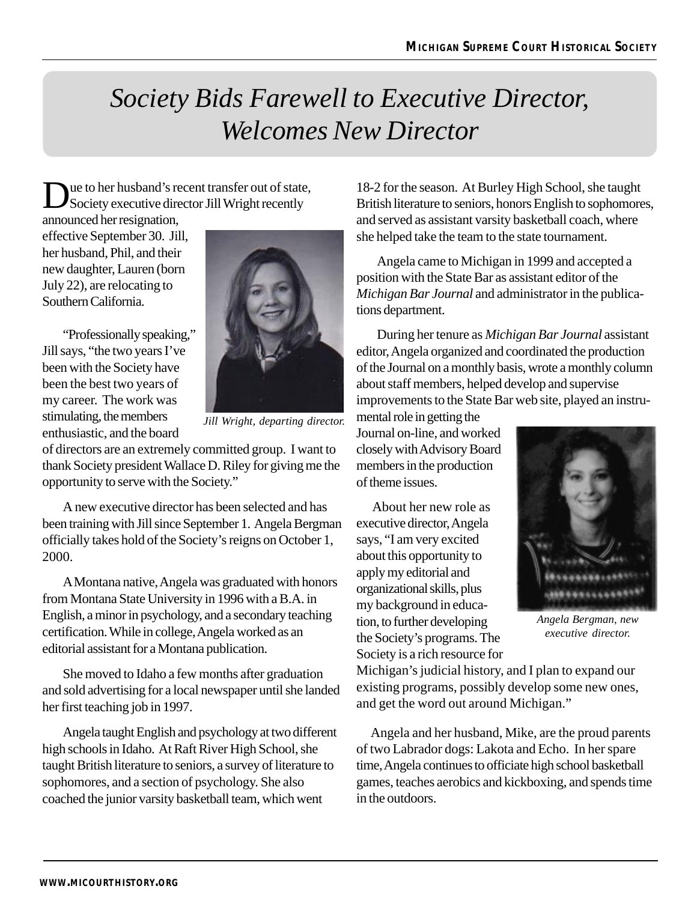## *Society Bids Farewell to Executive Director, Welcomes New Director*

ue to her husband's recent transfer out of state, Society executive director Jill Wright recently

announced her resignation, effective September 30. Jill, her husband, Phil, and their new daughter, Lauren (born July 22), are relocating to Southern California.

"Professionally speaking," Jill says, "the two years I've been with the Society have been the best two years of my career. The work was stimulating, the members enthusiastic, and the board



*Jill Wright, departing director.*

of directors are an extremely committed group. I want to thank Society president Wallace D. Riley for giving me the opportunity to serve with the Society."

A new executive director has been selected and has been training with Jill since September 1. Angela Bergman officially takes hold of the Society's reigns on October 1, 2000.

A Montana native, Angela was graduated with honors from Montana State University in 1996 with a B.A. in English, a minor in psychology, and a secondary teaching certification. While in college, Angela worked as an editorial assistant for a Montana publication.

She moved to Idaho a few months after graduation and sold advertising for a local newspaper until she landed her first teaching job in 1997.

Angela taught English and psychology at two different high schools in Idaho. At Raft River High School, she taught British literature to seniors, a survey of literature to sophomores, and a section of psychology. She also coached the junior varsity basketball team, which went

18-2 for the season. At Burley High School, she taught British literature to seniors, honors English to sophomores, and served as assistant varsity basketball coach, where she helped take the team to the state tournament.

Angela came to Michigan in 1999 and accepted a position with the State Bar as assistant editor of the *Michigan Bar Journal* and administrator in the publications department.

During her tenure as *Michigan Bar Journal* assistant editor, Angela organized and coordinated the production of the Journal on a monthly basis, wrote a monthly column about staff members, helped develop and supervise improvements to the State Bar web site, played an instru-

mental role in getting the Journal on-line, and worked closely with Advisory Board members in the production of theme issues.

 About her new role as executive director, Angela says, "I am very excited about this opportunity to apply my editorial and organizational skills, plus my background in education, to further developing the Society's programs. The Society is a rich resource for



*Angela Bergman, new executive director.*

Michigan's judicial history, and I plan to expand our existing programs, possibly develop some new ones, and get the word out around Michigan."

 Angela and her husband, Mike, are the proud parents of two Labrador dogs: Lakota and Echo. In her spare time, Angela continues to officiate high school basketball games, teaches aerobics and kickboxing, and spends time in the outdoors.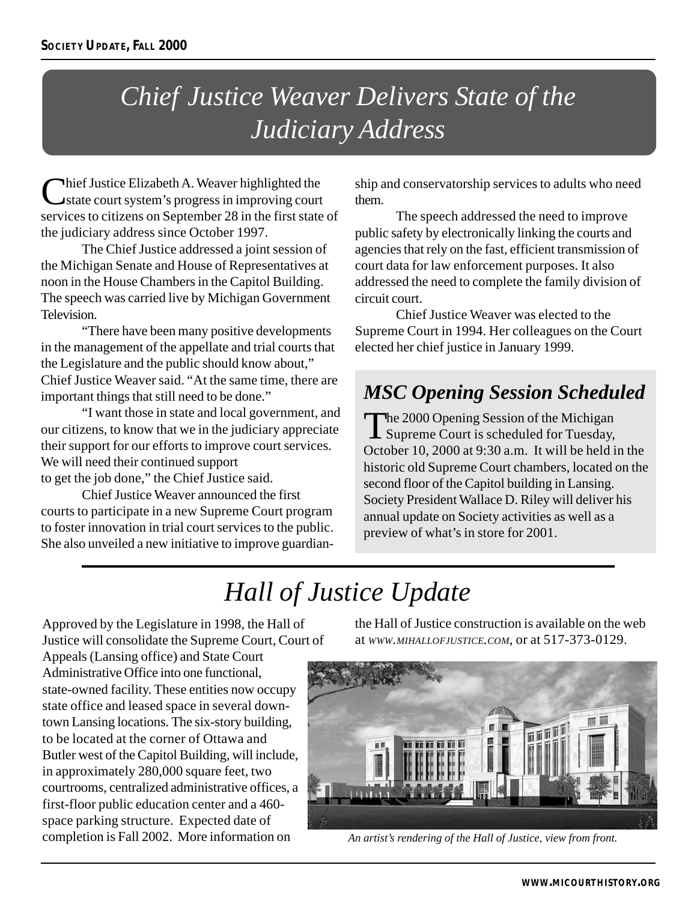## *Chief Justice Weaver Delivers State of the Judiciary Address*

Chief Justice Elizabeth A. Weaver highlighted the<br>state court system's progress in improving court services to citizens on September 28 in the first state of the judiciary address since October 1997.

The Chief Justice addressed a joint session of the Michigan Senate and House of Representatives at noon in the House Chambers in the Capitol Building. The speech was carried live by Michigan Government Television.

"There have been many positive developments in the management of the appellate and trial courts that the Legislature and the public should know about," Chief Justice Weaver said. "At the same time, there are important things that still need to be done."

"I want those in state and local government, and our citizens, to know that we in the judiciary appreciate their support for our efforts to improve court services. We will need their continued support to get the job done," the Chief Justice said.

Chief Justice Weaver announced the first courts to participate in a new Supreme Court program to foster innovation in trial court services to the public. She also unveiled a new initiative to improve guardianship and conservatorship services to adults who need them.

The speech addressed the need to improve public safety by electronically linking the courts and agencies that rely on the fast, efficient transmission of court data for law enforcement purposes. It also addressed the need to complete the family division of circuit court.

Chief Justice Weaver was elected to the Supreme Court in 1994. Her colleagues on the Court elected her chief justice in January 1999.

### *MSC Opening Session Scheduled*

The 2000 Opening Session of the Michigan **L** Supreme Court is scheduled for Tuesday, October 10, 2000 at 9:30 a.m. It will be held in the historic old Supreme Court chambers, located on the second floor of the Capitol building in Lansing. Society President Wallace D. Riley will deliver his annual update on Society activities as well as a preview of what's in store for 2001.

## *Hall of Justice Update*

Approved by the Legislature in 1998, the Hall of Justice will consolidate the Supreme Court, Court of Appeals (Lansing office) and State Court Administrative Office into one functional,

state-owned facility. These entities now occupy state office and leased space in several downtown Lansing locations. The six-story building, to be located at the corner of Ottawa and Butler west of the Capitol Building, will include, in approximately 280,000 square feet, two courtrooms, centralized administrative offices, a first-floor public education center and a 460 space parking structure. Expected date of completion is Fall 2002. More information on

the Hall of Justice construction is available on the web at *WWW.MIHALLOFJUSTICE.COM*, or at 517-373-0129.



 *An artist's rendering of the Hall of Justice, view from front.*